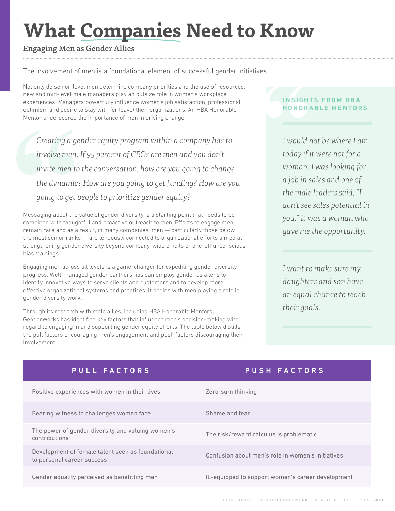# **What Companies Need to Know**

# Engaging Men as Gender Allies

The involvement of men is a foundational element of successful gender initiatives.

Not only do senior-level men determine company priorities and the use of resources, new and mid-level male managers play an outsize role in women's workplace experiences. Managers powerfully influence women's job satisfaction, professional optimism and desire to stay with (or leave) their organizations. An HBA Honorable Mentor underscored the importance of men in driving change:

Creating a ge<br>
involve men.<br>
invite men to<br>
the dynamic<sup>1</sup><br>
going to get p<br>
Messaging about the<br>
combined with though<br>
remain rare and as a<br>
the most senior ranks<br>
strengthening gender<br>
bias trainings. *Creating a gender equity program within a company has to involve men. If 95 percent of CEOs are men and you don't invite men to the conversation, how are you going to change the dynamic? How are you going to get funding? How are you going to get people to prioritize gender equity?*

Messaging about the value of gender diversity is a starting point that needs to be combined with thoughtful and proactive outreach to men. Efforts to engage men remain rare and as a result, in many companies, men — particularly those below the most senior ranks — are tenuously connected to organizational efforts aimed at strengthening gender diversity beyond company-wide emails or one-off unconscious bias trainings.

Engaging men across all levels is a game-changer for expediting gender diversity progress. Well-managed gender partnerships can employ gender as a lens to identify innovative ways to serve clients and customers and to develop more effective organizational systems and practices. It begins with men playing a role in gender diversity work.

Through its research with male allies, including HBA Honorable Mentors, GenderWorks has identified key factors that influence men's decision-making with regard to engaging in and supporting gender equity efforts. The table below distills the pull factors encouraging men's engagement and push factors discouraging their involvement.

## **INSIGHTS FROM HBA HONORABLE MENTORS**

*I would not be where I am today if it were not for a woman. I was looking for a job in sales and one of the male leaders said, "I don't see sales potential in you." It was a woman who gave me the opportunity.* **INSIGHT**<br> **HONORA**<br>
I would r<br>
today if i<br>
woman.

> *I want to make sure my daughters and son have an equal chance to reach their goals.*

| PULL FACTORS                                                                    | <b>PUSH FACTORS</b>                                |
|---------------------------------------------------------------------------------|----------------------------------------------------|
| Positive experiences with women in their lives                                  | Zero-sum thinking                                  |
| Bearing witness to challenges women face                                        | Shame and fear                                     |
| The power of gender diversity and valuing women's<br>contributions              | The risk/reward calculus is problematic            |
| Development of female talent seen as foundational<br>to personal career success | Confusion about men's role in women's initiatives  |
| Gender equality perceived as benefitting men                                    | Ill-equipped to support women's career development |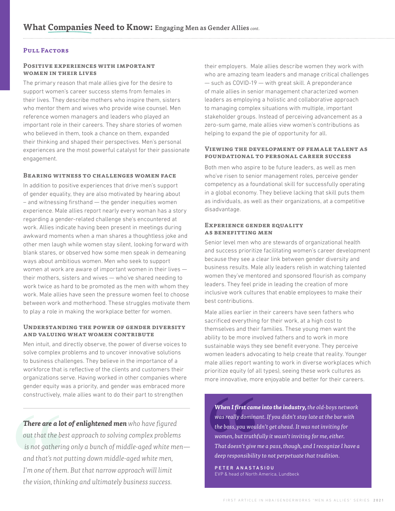#### **Pull Factors**

#### **Positive experiences with important women in their lives**

The primary reason that male allies give for the desire to support women's career success stems from females in their lives. They describe mothers who inspire them, sisters who mentor them and wives who provide wise counsel. Men reference women managers and leaders who played an important role in their careers. They share stories of women who believed in them, took a chance on them, expanded their thinking and shaped their perspectives. Men's personal experiences are the most powerful catalyst for their passionate engagement.

#### **Bearing witness to challenges women face**

In addition to positive experiences that drive men's support of gender equality, they are also motivated by hearing about – and witnessing firsthand — the gender inequities women experience. Male allies report nearly every woman has a story regarding a gender-related challenge she's encountered at work. Allies indicate having been present in meetings during awkward moments when a man shares a thoughtless joke and other men laugh while women stay silent, looking forward with blank stares, or observed how some men speak in demeaning ways about ambitious women. Men who seek to support women at work are aware of important women in their lives their mothers, sisters and wives — who've shared needing to work twice as hard to be promoted as the men with whom they work. Male allies have seen the pressure women feel to choose between work and motherhood. These struggles motivate them to play a role in making the workplace better for women.

#### **Understanding the power of gender diversity and valuing what women contribute**

Men intuit, and directly observe, the power of diverse voices to solve complex problems and to uncover innovative solutions to business challenges. They believe in the importance of a workforce that is reflective of the clients and customers their organizations serve. Having worked in other companies where gender equity was a priority, and gender was embraced more constructively, male allies want to do their part to strengthen

**There are a lot of enlightened men** who have figured<br>
out that the best approach to solving complex problems<br>
is not gathering only a bunch of middle-aged white men—<br>
and that's not putting form, but running forme, but tr *There are a lot of enlightened men who have figured out that the best approach to solving complex problems is not gathering only a bunch of middle-aged white men and that's not putting down middle-aged white men, I'm one of them. But that narrow approach will limit the vision, thinking and ultimately business success.*

their employers. Male allies describe women they work with who are amazing team leaders and manage critical challenges — such as COVID-19 — with great skill. A preponderance of male allies in senior management characterized women leaders as employing a holistic and collaborative approach to managing complex situations with multiple, important stakeholder groups. Instead of perceiving advancement as a zero-sum game, male allies view women's contributions as helping to expand the pie of opportunity for all.

#### **Viewing the development of female talent as foundational to personal career success**

Both men who aspire to be future leaders, as well as men who've risen to senior management roles, perceive gender competency as a foundational skill for successfully operating in a global economy. They believe lacking that skill puts them as individuals, as well as their organizations, at a competitive disadvantage.

#### **Experience gender equality as benefitting men**

Senior level men who are stewards of organizational health and success prioritize facilitating women's career development because they see a clear link between gender diversity and business results. Male ally leaders relish in watching talented women they've mentored and sponsored flourish as company leaders. They feel pride in leading the creation of more inclusive work cultures that enable employees to make their best contributions.

Male allies earlier in their careers have seen fathers who sacrificed everything for their work, at a high cost to themselves and their families. These young men want the ability to be more involved fathers and to work in more sustainable ways they see benefit everyone. They perceive women leaders advocating to help create that reality. Younger male allies report wanting to work in diverse workplaces which prioritize equity (of all types), seeing these work cultures as more innovative, more enjoyable and better for their careers.

**When I first came**<br>was really domina<br>the boss, you woull<br>women, but truthf<br>That doesn't give r<br>deep responsibility<br>PETER ANASTA<br>EVP & head of North *When I first came into the industry, the old-boys network was really dominant. If you didn't stay late at the bar with the boss, you wouldn't get ahead. It was not inviting for women, but truthfully it wasn't inviting for me, either. That doesn't give me a pass, though, and I recognize I have a deep responsibility to not perpetuate that tradition.* 

PETER ANASTASIOU EVP & head of North America, Lundbeck